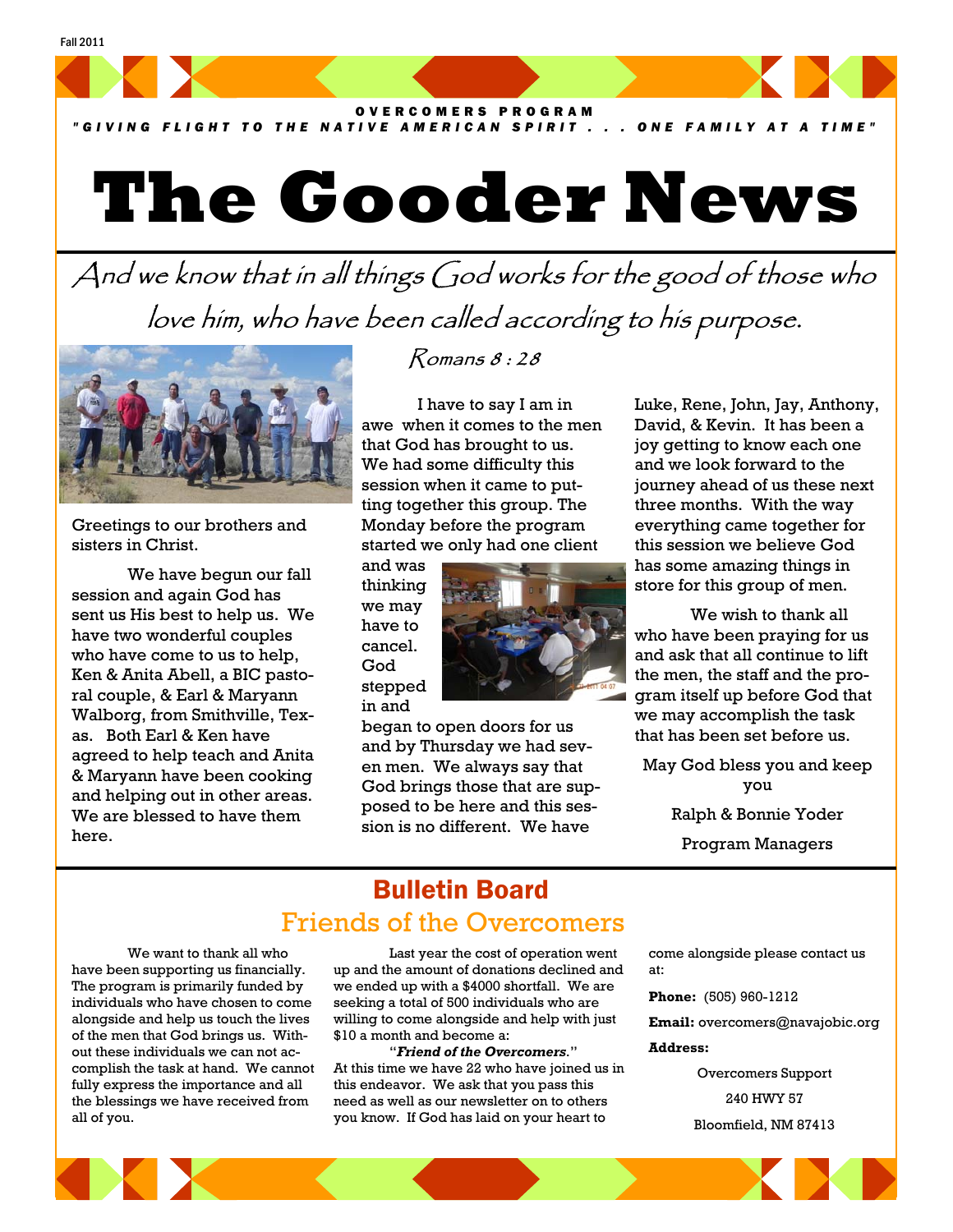OVERCOMERS PROGRAM

*"GIVING FLIGHT TO THE NATIVE AMERICAN SPIRIT . . . ONE FAMILY AT A TIME"*

# **The Gooder News**

And we know that in all things God works for the good of those who love him, who have been called according to his purpose.



Fall 2011

Greetings to our brothers and sisters in Christ.

 We have begun our fall session and again God has sent us His best to help us. We have two wonderful couples who have come to us to help, Ken & Anita Abell, a BIC pastoral couple, & Earl & Maryann Walborg, from Smithville, Texas. Both Earl & Ken have agreed to help teach and Anita & Maryann have been cooking and helping out in other areas. We are blessed to have them here.

### Romans 8 : 28

 I have to say I am in awe when it comes to the men that God has brought to us. We had some difficulty this session when it came to putting together this group. The Monday before the program started we only had one client

and was thinking we may have to cancel. God stepped in and



began to open doors for us and by Thursday we had seven men. We always say that God brings those that are supposed to be here and this session is no different. We have

Luke, Rene, John, Jay, Anthony, David, & Kevin. It has been a joy getting to know each one and we look forward to the journey ahead of us these next three months. With the way everything came together for this session we believe God has some amazing things in store for this group of men.

 We wish to thank all who have been praying for us and ask that all continue to lift the men, the staff and the program itself up before God that we may accomplish the task that has been set before us.

May God bless you and keep you Ralph & Bonnie Yoder Program Managers

# Bulletin Board Friends of the Overcomers

 We want to thank all who have been supporting us financially. The program is primarily funded by individuals who have chosen to come alongside and help us touch the lives of the men that God brings us. Without these individuals we can not accomplish the task at hand. We cannot fully express the importance and all the blessings we have received from all of you.

 Last year the cost of operation went up and the amount of donations declined and we ended up with a \$4000 shortfall. We are seeking a total of 500 individuals who are willing to come alongside and help with just \$10 a month and become a:

 "*Friend of the Overcomers*." At this time we have 22 who have joined us in this endeavor. We ask that you pass this need as well as our newsletter on to others you know. If God has laid on your heart to

come alongside please contact us at:

**Phone:** (505) 960-1212

**Email:** overcomers@navajobic.org

#### **Address:**

Overcomers Support 240 HWY 57 Bloomfield, NM 87413